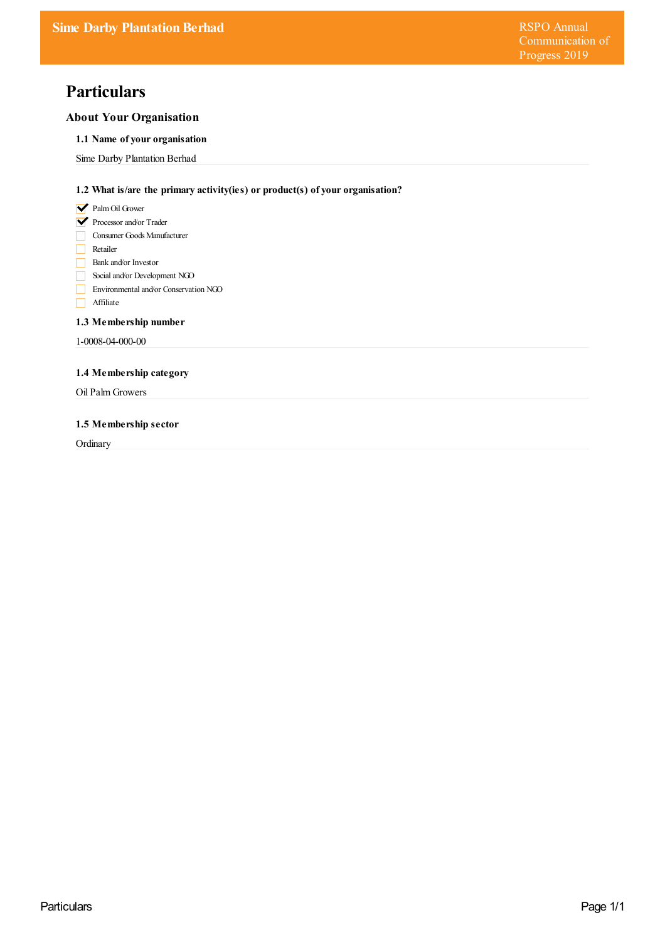# **Particulars**

# **About Your Organisation**

# **1.1 Name of your organisation**

Sime Darby Plantation Berhad

# **1.2 What is/are the primary activity(ies) or product(s) of your organisation?**

- **V** Palm Oil Grower
- Processor and/or Trader
- Consumer Goods Manufacturer
- Retailer
- Bank and/or Investor
- Social and/or Development NGO
- Environmental and/or Conservation NGO
- Affiliate

# **1.3 Membership number**

1-0008-04-000-00

# **1.4 Membership category**

Oil Palm Growers

## **1.5 Membership sector**

**Ordinary**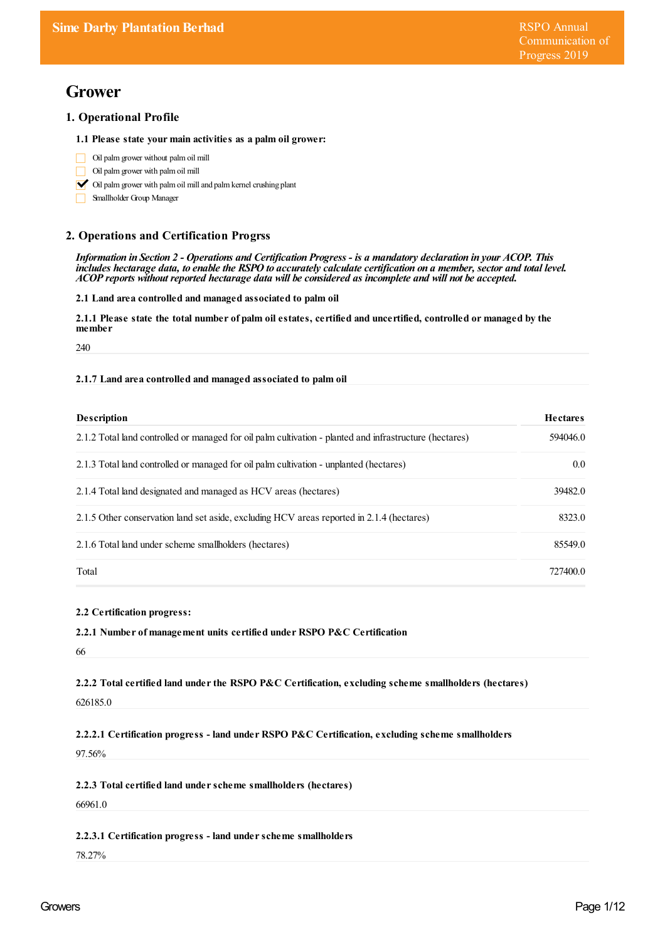# **Grower**

# **1. Operational Profile**

### **1.1 Please state your main activities as a palm oil grower:**

- Oil palmgrower without palmoil mill  $\Box$
- Oil palmgrower with palmoil mill
- $\triangleright$  Oil palm grower with palm oil mill and palm kernel crushing plant
- Smallholder Group Manager

# **2. Operations and Certification Progrss**

Information in Section 2 - Operations and Certification Progress - is a mandatory declaration in your ACOP. This includes hectarage data, to enable the RSPO to accurately calculate certification on a member, sector and total level. *ACOP reports without reported hectarage data will be considered as incomplete and will not be accepted.*

**2.1 Land area controlled and managed associated to palm oil**

2.1.1 Please state the total number of palm oil estates, certified and uncertified, controlled or managed by the member

240

### **2.1.7 Land area controlled and managed associated to palm oil**

| <b>Description</b>                                                                                      | <b>Hectares</b>  |
|---------------------------------------------------------------------------------------------------------|------------------|
| 2.1.2 Total land controlled or managed for oil palm cultivation - planted and infrastructure (hectares) | 594046.0         |
| 2.1.3 Total land controlled or managed for oil palm cultivation - unplanted (hectares)                  | 0.0 <sub>1</sub> |
| 2.1.4 Total land designated and managed as HCV areas (hectares)                                         | 39482.0          |
| 2.1.5 Other conservation land set aside, excluding HCV areas reported in 2.1.4 (hectares)               | 8323.0           |
| 2.1.6 Total land under scheme smallholders (hectares)                                                   | 85549.0          |
| Total                                                                                                   | 727400.0         |

### **2.2 Certification progress:**

### **2.2.1 Number of management units certified under RSPO P&C Certification**

66

**2.2.2 Total certified land underthe RSPO P&C Certification, excluding scheme smallholders (hectares)**

626185.0

**2.2.2.1 Certification progress - land under RSPO P&C Certification, excluding scheme smallholders**

97.56%

**2.2.3 Total certified land underscheme smallholders (hectares)**

66961.0

### **2.2.3.1 Certification progress - land underscheme smallholders**

78.27%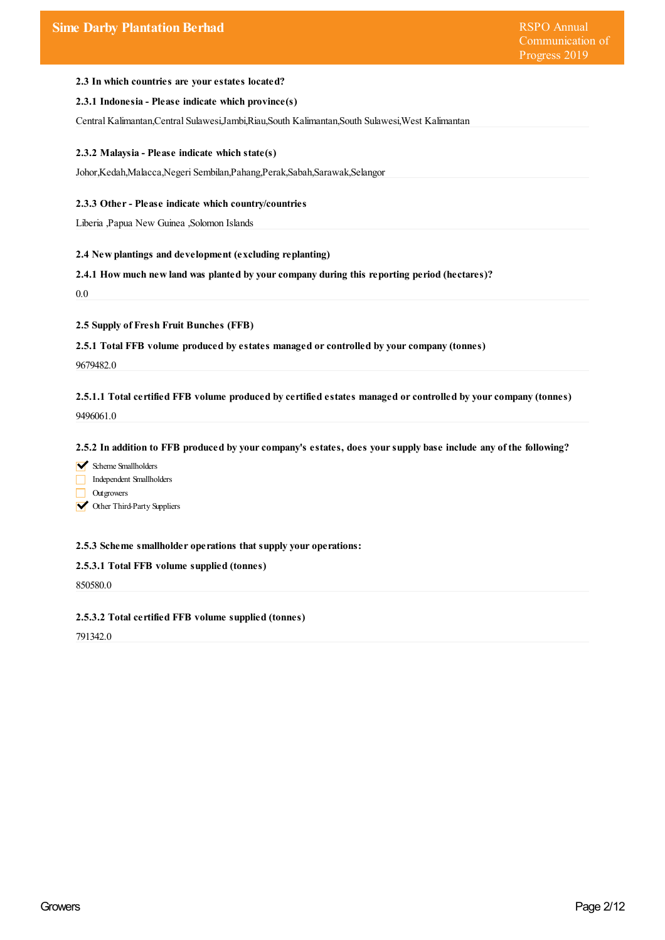### **2.3 In which countries are yourestates located?**

### **2.3.1 Indonesia - Please indicate which province(s)**

Central Kalimantan,Central Sulawesi,Jambi,Riau,South Kalimantan,South Sulawesi,West Kalimantan

#### **2.3.2 Malaysia - Please indicate which state(s)**

Johor,Kedah,Malacca,Negeri Sembilan,Pahang,Perak,Sabah,Sarawak,Selangor

### **2.3.3 Other- Please indicate which country/countries**

Liberia ,Papua New Guinea ,Solomon Islands

#### **2.4 New plantings and development (excluding replanting)**

**2.4.1 How much new land was planted by yourcompany during this reporting period (hectares)?**

0.0

### **2.5 Supply of Fresh Fruit Bunches (FFB)**

**2.5.1 Total FFB volume produced by estates managed orcontrolled by yourcompany (tonnes)**

9679482.0

**2.5.1.1 Total certified FFB volume produced by certified estates managed orcontrolled by yourcompany (tonnes)** 9496061.0

#### 2.5.2 In addition to FFB produced by your company's estates, does your supply base include any of the following?

- Scheme Smallholders
- Independent Smallholders
- **Outgrowers**
- **V** Other Third-Party Suppliers

### **2.5.3 Scheme smallholder operations that supply your operations:**

### **2.5.3.1 Total FFB volume supplied (tonnes)**

850580.0

#### **2.5.3.2 Total certified FFB volume supplied (tonnes)**

791342.0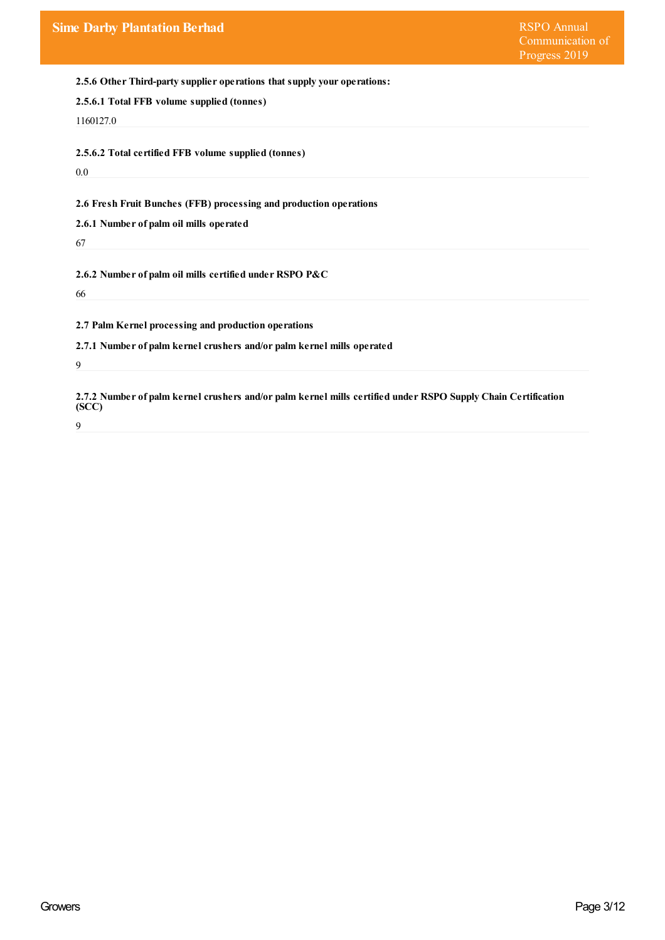**2.5.6 Other Third-party supplier operations that supply your operations:**

|  |  | 2.5.6.1 Total FFB volume supplied (tonnes) |  |
|--|--|--------------------------------------------|--|
|  |  |                                            |  |

1160127.0

**2.5.6.2 Total certified FFB volume supplied (tonnes)**

0.0

**2.6 Fresh Fruit Bunches (FFB) processing and production operations**

**2.6.1 Number of palm oil mills operated**

67

**2.6.2 Number of palm oil mills certified under RSPO P&C**

66

**2.7 Palm Kernel processing and production operations**

**2.7.1 Number of palm kernel crushers and/or palm kernel mills operated**

9

**2.7.2 Number of palm kernel crushers and/or palm kernel mills certified under RSPO Supply Chain Certification (SCC)**

9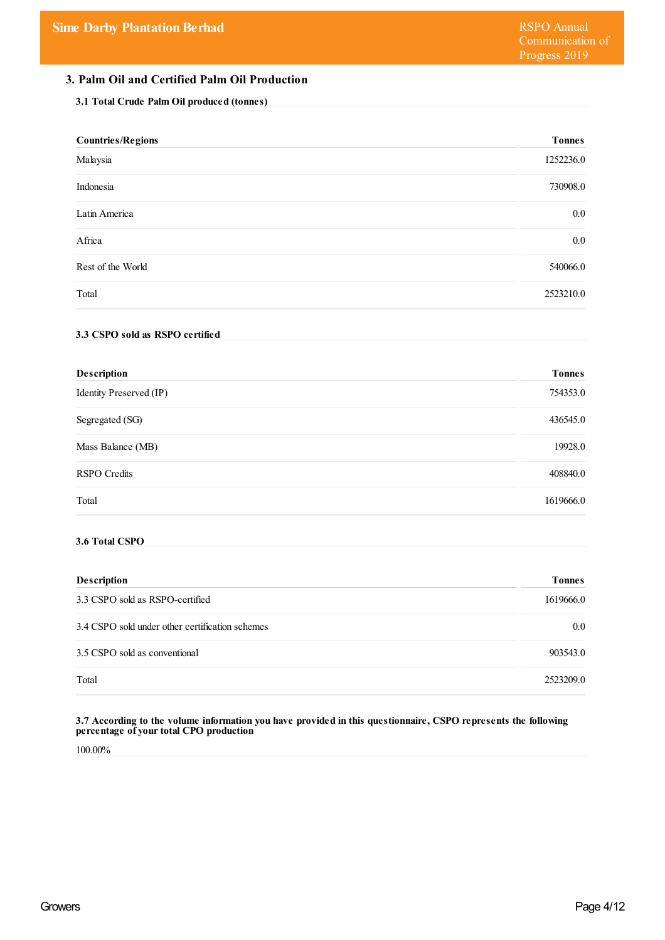# **3. Palm Oil and Certified Palm Oil Production**

## **3.1 Total Crude Palm Oil produced (tonnes)**

| <b>Countries/Regions</b>                        | <b>Tonnes</b> |
|-------------------------------------------------|---------------|
| Malaysia                                        | 1252236.0     |
| Indonesia                                       | 730908.0      |
| Latin America                                   | 0.0           |
| Africa                                          | $0.0\,$       |
| Rest of the World                               | 540066.0      |
| Total                                           | 2523210.0     |
| 3.3 CSPO sold as RSPO certified                 |               |
| Description                                     | <b>Tonnes</b> |
| Identity Preserved (IP)                         | 754353.0      |
| Segregated (SG)                                 | 436545.0      |
| Mass Balance (MB)                               | 19928.0       |
| <b>RSPO</b> Credits                             | 408840.0      |
| Total                                           | 1619666.0     |
| 3.6 Total CSPO                                  |               |
| Description                                     | <b>Tonnes</b> |
| 3.3 CSPO sold as RSPO-certified                 | 1619666.0     |
| 3.4 CSPO sold under other certification schemes | 0.0           |
| 3.5 CSPO sold as conventional                   | 903543.0      |
| Total                                           | 2523209.0     |

#### **3.7 According to the volume information you have provided in this questionnaire, CSPO represents the following percentage of yourtotal CPO production**

100.00%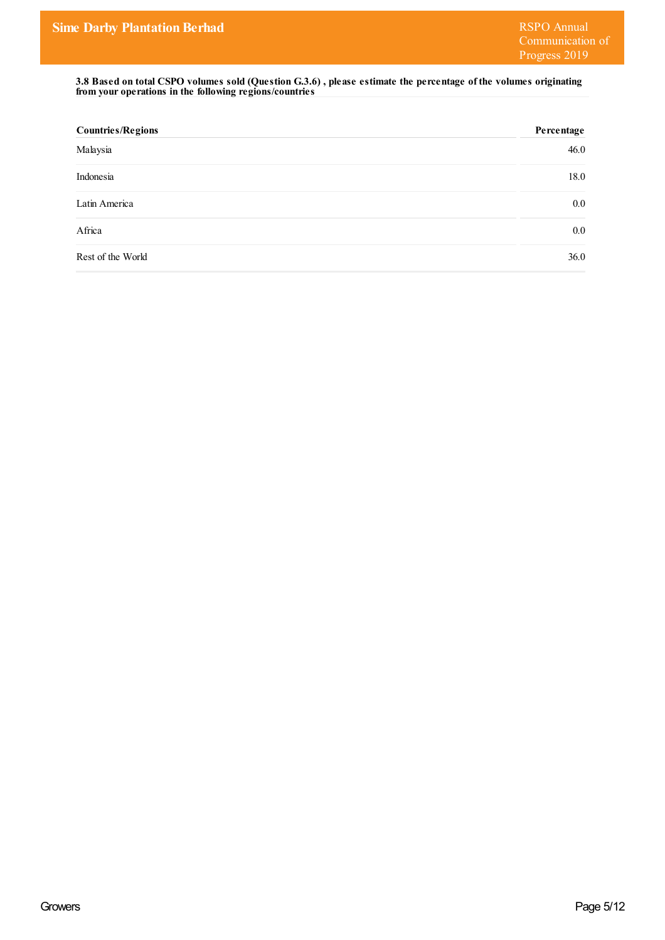3.8 Based on total CSPO volumes sold (Question G.3.6), please estimate the percentage of the volumes originating **from your operations in the following regions/countries**

| <b>Countries/Regions</b> | Percentage |
|--------------------------|------------|
| Malaysia                 | 46.0       |
| Indonesia                | 18.0       |
| Latin America            | $0.0\,$    |
| Africa                   | $0.0\,$    |
| Rest of the World        | 36.0       |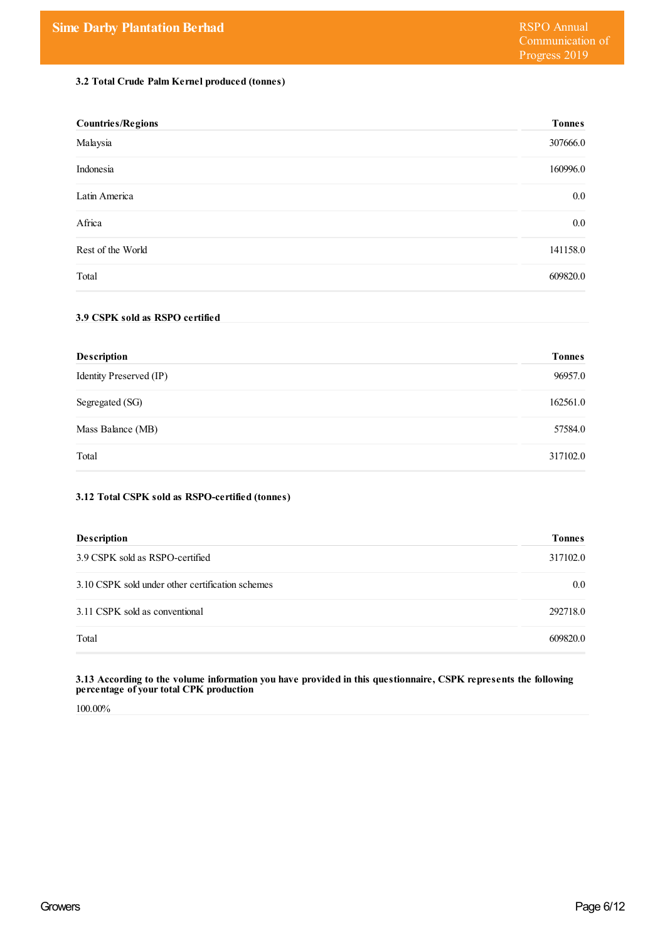# **3.2 Total Crude Palm Kernel produced (tonnes)**

| <b>Countries/Regions</b> | <b>Tonnes</b> |
|--------------------------|---------------|
| Malaysia                 | 307666.0      |
| Indonesia                | 160996.0      |
| Latin America            | $0.0\,$       |
| Africa                   | $0.0\,$       |
| Rest of the World        | 141158.0      |
| Total                    | 609820.0      |

# **3.9 CSPK sold as RSPO certified**

| <b>Description</b>      | <b>Tonnes</b> |
|-------------------------|---------------|
| Identity Preserved (IP) | 96957.0       |
| Segregated (SG)         | 162561.0      |
| Mass Balance (MB)       | 57584.0       |
| Total                   | 317102.0      |

# **3.12 Total CSPK sold as RSPO-certified (tonnes)**

| <b>Description</b>                               | <b>Tonnes</b> |
|--------------------------------------------------|---------------|
| 3.9 CSPK sold as RSPO-certified                  | 317102.0      |
| 3.10 CSPK sold under other certification schemes | $0.0\,$       |
| 3.11 CSPK sold as conventional                   | 292718.0      |
| Total                                            | 609820.0      |

#### **3.13 According to the volume information you have provided in this questionnaire, CSPK represents the following percentage of yourtotal CPK production**

100.00%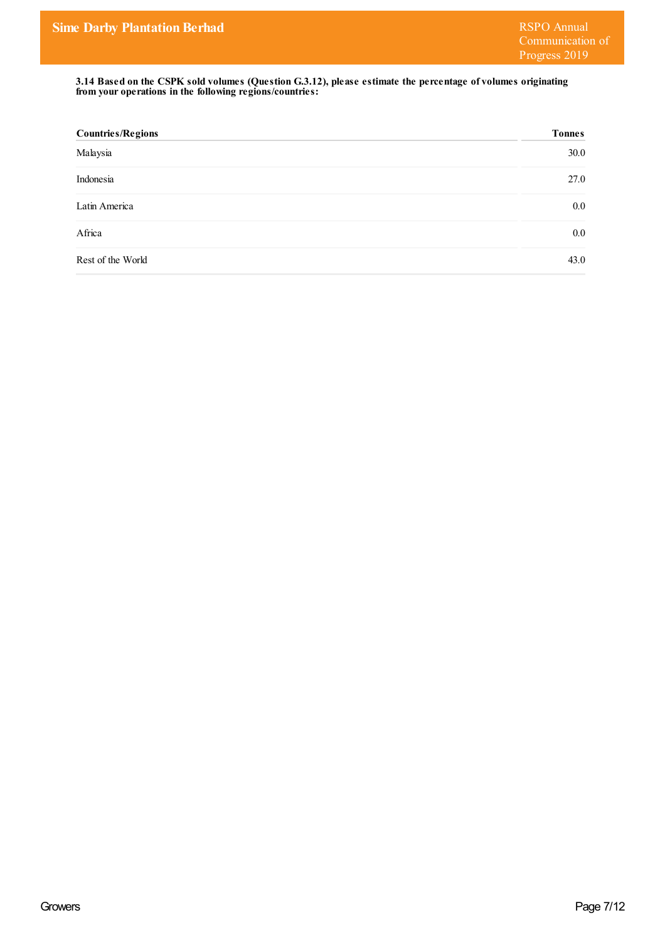**3.14 Based on the CSPK sold volumes (Question G.3.12), please estimate the percentage of volumes originating from your operations in the following regions/countries:**

| <b>Countries/Regions</b> | <b>Tonnes</b> |
|--------------------------|---------------|
| Malaysia                 | 30.0          |
| Indonesia                | 27.0          |
| Latin America            | $0.0\,$       |
| Africa                   | $0.0\,$       |
| Rest of the World        | 43.0          |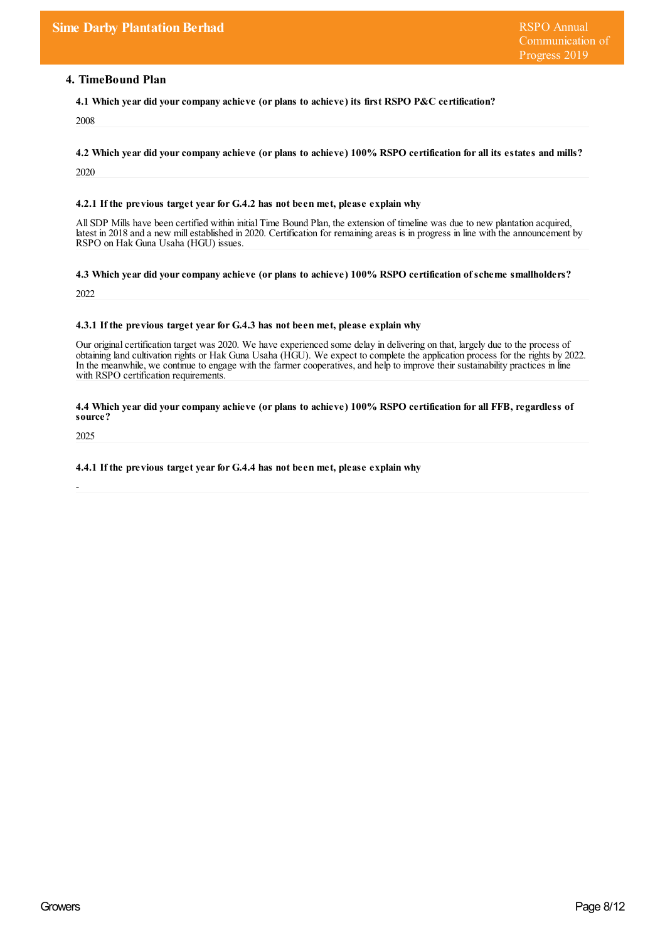# **4. TimeBound Plan**

**4.1 Which year did yourcompany achieve (or plans to achieve) its first RSPO P&C certification?**

2008

4.2 Which year did your company achieve (or plans to achieve) 100% RSPO certification for all its estates and mills?

2020

#### **4.2.1 If the previous target yearfor G.4.2 has not been met, please explain why**

All SDP Mills have been certified within initial Time Bound Plan, the extension of timeline was due to new plantation acquired, latest in 2018 and a new millestablished in 2020. Certification for remaining areas is in progress in line with the announcement by RSPO on Hak Guna Usaha (HGU) issues.

**4.3 Which year did yourcompany achieve (or plans to achieve) 100% RSPO certification ofscheme smallholders?**

2022

#### **4.3.1 If the previous target yearfor G.4.3 has not been met, please explain why**

Our original certification target was 2020. We have experienced some delay in delivering on that, largely due to the process of obtaining land cultivation rights or Hak Guna Usaha (HGU). We expect to complete the application process for the rights by 2022. In the meanwhile, we continue to engage with the farmer cooperatives, and help to improve their sustainability practices in line with RSPO certification requirements.

#### 4.4 Which year did your company achieve (or plans to achieve) 100% RSPO certification for all FFB, regardless of **source?**

2025

-

#### **4.4.1 If the previous target yearfor G.4.4 has not been met, please explain why**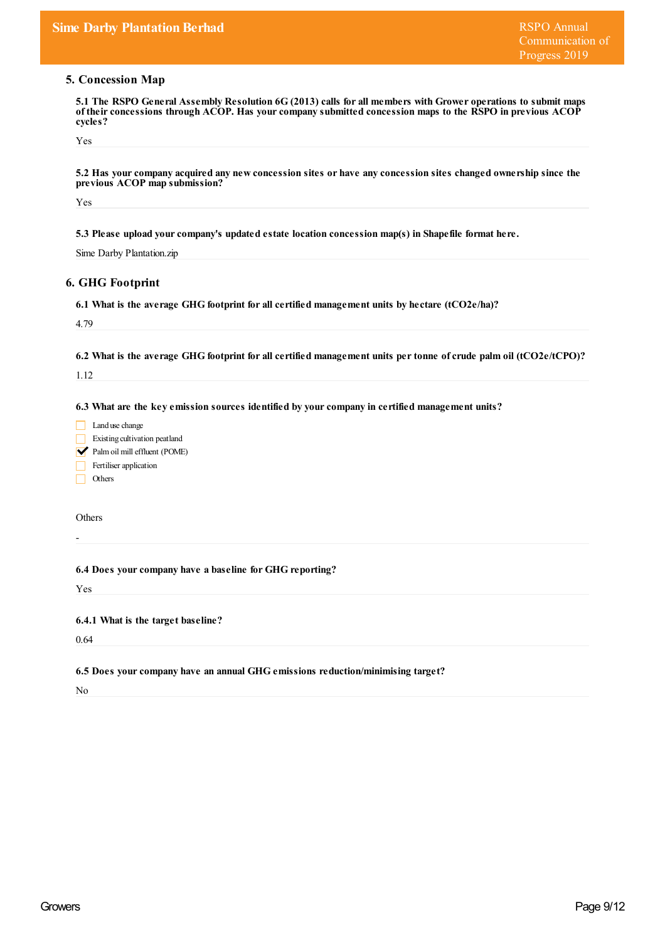# **5. Concession Map**

| 5.1 The RSPO General Assembly Resolution 6G (2013) calls for all members with Grower operations to submit maps |
|----------------------------------------------------------------------------------------------------------------|
| of their concessions through ACOP. Has your company submitted concession maps to the RSPO in previous ACOP     |
| cycles?                                                                                                        |

| Yes                                                                                                |                                                                                                                    |
|----------------------------------------------------------------------------------------------------|--------------------------------------------------------------------------------------------------------------------|
| previous ACOP map submission?                                                                      | 5.2 Has your company acquired any new concession sites or have any concession sites changed ownership since the    |
| Yes                                                                                                |                                                                                                                    |
|                                                                                                    | 5.3 Please upload your company's updated estate location concession map(s) in Shapefile format here.               |
| Sime Darby Plantation.zip                                                                          |                                                                                                                    |
| <b>6. GHG Footprint</b>                                                                            |                                                                                                                    |
|                                                                                                    | 6.1 What is the average GHG footprint for all certified management units by hectare (tCO2e/ha)?                    |
| 4.79                                                                                               |                                                                                                                    |
|                                                                                                    | 6.2 What is the average GHG footprint for all certified management units per tonne of crude palm oil (tCO2e/tCPO)? |
| 1.12                                                                                               |                                                                                                                    |
| Existing cultivation peatland<br>Palm oil mill effluent (POME)<br>Fertiliser application<br>Others |                                                                                                                    |
| Others                                                                                             |                                                                                                                    |
|                                                                                                    | 6.4 Does your company have a baseline for GHG reporting?                                                           |
| Yes                                                                                                |                                                                                                                    |
| 6.4.1 What is the target baseline?                                                                 |                                                                                                                    |
| 0.64                                                                                               |                                                                                                                    |
|                                                                                                    | 6.5 Does your company have an annual GHG emissions reduction/minimising target?                                    |
| No                                                                                                 |                                                                                                                    |
|                                                                                                    |                                                                                                                    |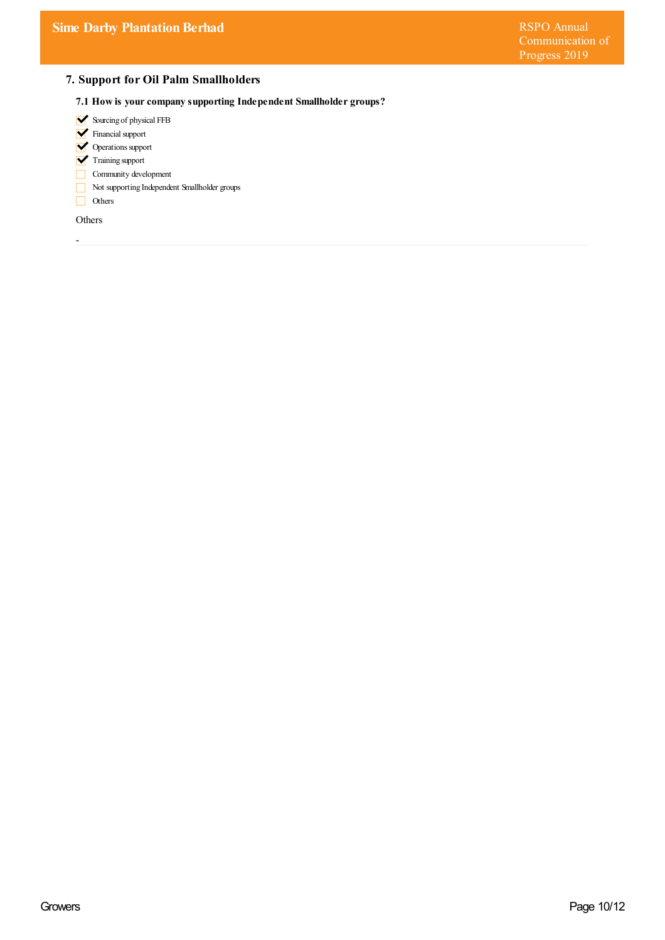# **7. Support for Oil Palm Smallholders**

- **7.1 How is yourcompany supporting Independent Smallholder groups?**
- Sourcing of physical FFB
- **V** Financial support
- **V** Operations support
- **V** Training support
- $\boxed{\phantom{1}}$  Community development
- Not supporting Independent Smallholder groups
- Others

Others

-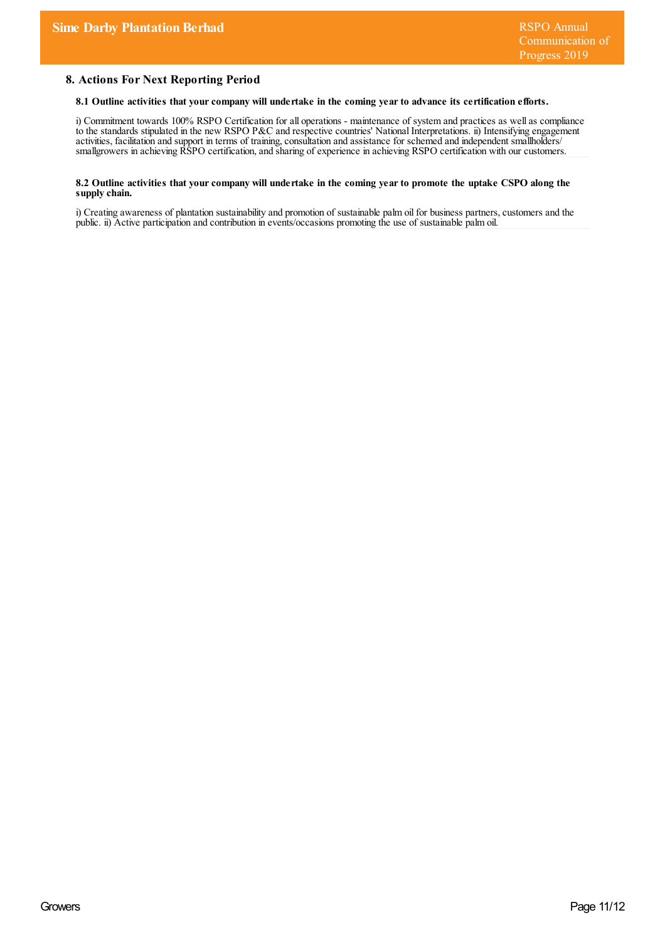# **8. Actions For Next Reporting Period**

### **8.1 Outline activities that yourcompany will undertake in the coming yearto advance its certification efforts.**

i) Commitment towards 100% RSPO Certification for all operations - maintenance of system and practices as wellas compliance to the standards stipulated in the new RSPO P&C and respective countries' National Interpretations. ii) Intensifying engagement activities, facilitation and support in terms of training, consultation and assistance for schemed and independent smallholders/ smallgrowers in achieving RSPO certification,and sharing of experience in achieving RSPO certification with our customers.

#### 8.2 Outline activities that your company will undertake in the coming year to promote the uptake CSPO along the **supply chain.**

i) Creating awareness of plantation sustainability and promotion of sustainable palm oil for business partners, customers and the public. ii) Active participation and contribution in events/occasions promoting the use of sustainable palm oil.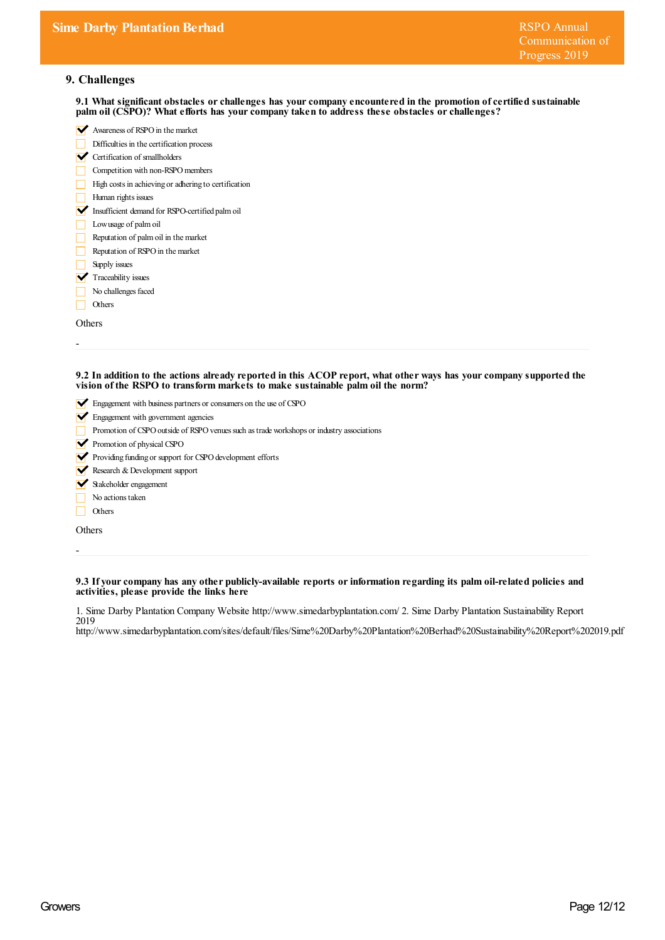# **9. Challenges**

**9.1 What significant obstacles orchallenges has yourcompany encountered in the promotion ofcertified sustainable palm oil (CSPO)? What efforts has yourcompany taken to address these obstacles orchallenges?**

|                          | Awareness of RSPO in the market                                                                                                                                                                       |
|--------------------------|-------------------------------------------------------------------------------------------------------------------------------------------------------------------------------------------------------|
|                          | Difficulties in the certification process                                                                                                                                                             |
| $\blacktriangledown$     | Certification of smallholders                                                                                                                                                                         |
|                          | Competition with non-RSPO members                                                                                                                                                                     |
|                          | High costs in achieving or adhering to certification                                                                                                                                                  |
|                          | Human rights issues                                                                                                                                                                                   |
| V                        | Insufficient demand for RSPO-certified palm oil                                                                                                                                                       |
|                          | Lowusage of palm oil                                                                                                                                                                                  |
|                          | Reputation of palm oil in the market                                                                                                                                                                  |
|                          | Reputation of RSPO in the market                                                                                                                                                                      |
|                          | Supply issues                                                                                                                                                                                         |
| V                        | Traceability issues                                                                                                                                                                                   |
|                          | No challenges faced                                                                                                                                                                                   |
|                          | Others                                                                                                                                                                                                |
|                          | Others                                                                                                                                                                                                |
|                          | 9.2 In addition to the actions already reported in this ACOP report, what other ways has your company supported the<br>vision of the RSPO to transform markets to make sustainable palm oil the norm? |
|                          | $\blacktriangleright$ Engagement with business partners or consumers on the use of CSPO                                                                                                               |
|                          | Engagement with government agencies                                                                                                                                                                   |
|                          | Promotion of CSPO outside of RSPO venues such as trade workshops or industry associations                                                                                                             |
| $\overline{\phantom{a}}$ | Promotion of physical CSPO                                                                                                                                                                            |

- $\triangledown$  Providing funding or support for CSPO development efforts
- Research & Development support
- Stakeholder engagement
- No actions taken
- Others

**Others** 

-

**9.3 If yourcompany has any other publicly-available reports orinformation regarding its palm oil-related policies and activities, please provide the links here**

1. Sime Darby Plantation Company Website http://www.simedarbyplantation.com/ 2. Sime Darby Plantation Sustainability Report 2019

http://www.simedarbyplantation.com/sites/default/files/Sime%20Darby%20Plantation%20Berhad%20Sustainability%20Report%202019.pdf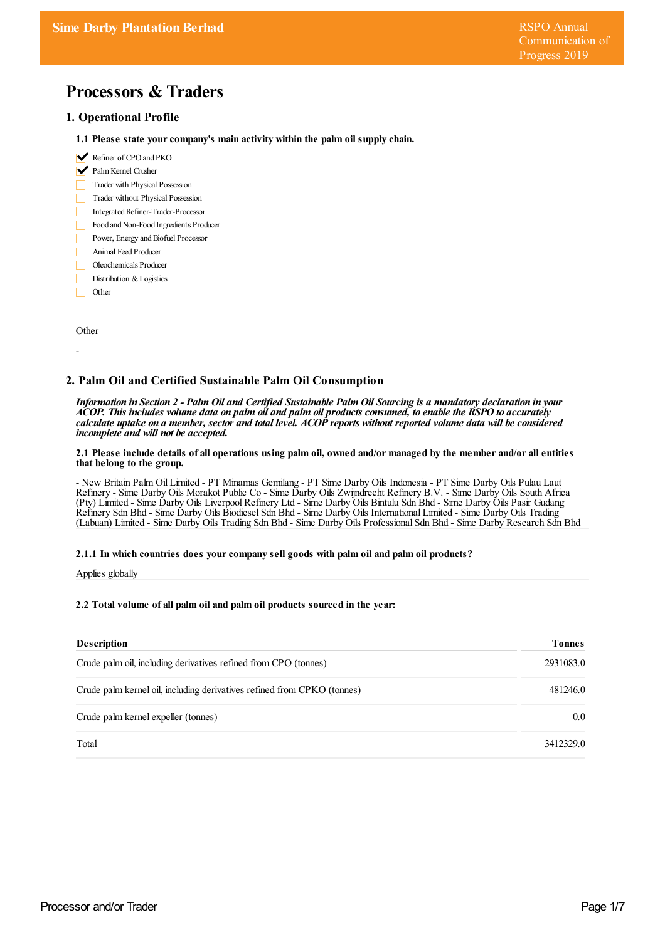# **Processors & Traders**

### **1. Operational Profile**

- **1.1 Please state yourcompany's main activity within the palm oil supply chain.**
- Refiner of CPO and PKO
- Palm Kernel Crusher
- Trader with Physical Possession
- Trader without Physical Possession
- Integrated Refiner-Trader-Processor
- Food and Non-Food Ingredients Producer
- Power, Energy and Biofuel Processor
- Animal Feed Producer
- Oleochemicals Producer
- Distribution & Logistics
- Other П

Other

-

## **2. Palm Oil and Certified Sustainable Palm Oil Consumption**

Information in Section 2 - Palm Oil and Certified Sustainable Palm Oil Sourcing is a mandatory declaration in your ACOP. This includes volume data on palm oil and palm oil products consumed, to enable the RSPO to accurately calculate uptake on a member, sector and total level. ACOP reports without reported volume data will be considered *incomplete and will not be accepted.*

#### 2.1 Please include details of all operations using palm oil, owned and/or managed by the member and/or all entities **that belong to the group.**

- New Britain Palm Oil Limited - PT Minamas Gemilang - PT Sime Darby Oils Indonesia - PT Sime Darby Oils Pulau Laut Refinery - Sime Darby Oils Morakot Public Co - Sime Darby Oils Zwijndrecht Refinery B.V. - Sime Darby Oils South Africa (Pty) Limited - Sime Darby Oils Liverpool Refinery Ltd - Sime Darby Oils Bintulu Sdn Bhd - Sime Darby Oils Pasir Gudang Refinery Sdn Bhd - Sime Darby Oils Biodiesel Sdn Bhd - Sime Darby Oils International Limited - Sime Darby Oils Trading (Labuan) Limited - Sime Darby Oils Trading Sdn Bhd - Sime Darby Oils Professional Sdn Bhd - Sime Darby Research Sdn Bhd

#### **2.1.1 In which countries does yourcompany sell goods with palm oil and palm oil products?**

Applies globally

#### **2.2 Total volume of all palm oil and palm oil products sourced in the year:**

| <b>Description</b>                                                      | <b>Tonnes</b>    |
|-------------------------------------------------------------------------|------------------|
| Crude palm oil, including derivatives refined from CPO (tonnes)         | 2931083.0        |
| Crude palm kernel oil, including derivatives refined from CPKO (tonnes) | 481246.0         |
| Crude palm kernel expeller (tonnes)                                     | 0.0 <sub>1</sub> |
| Total                                                                   | 3412329.0        |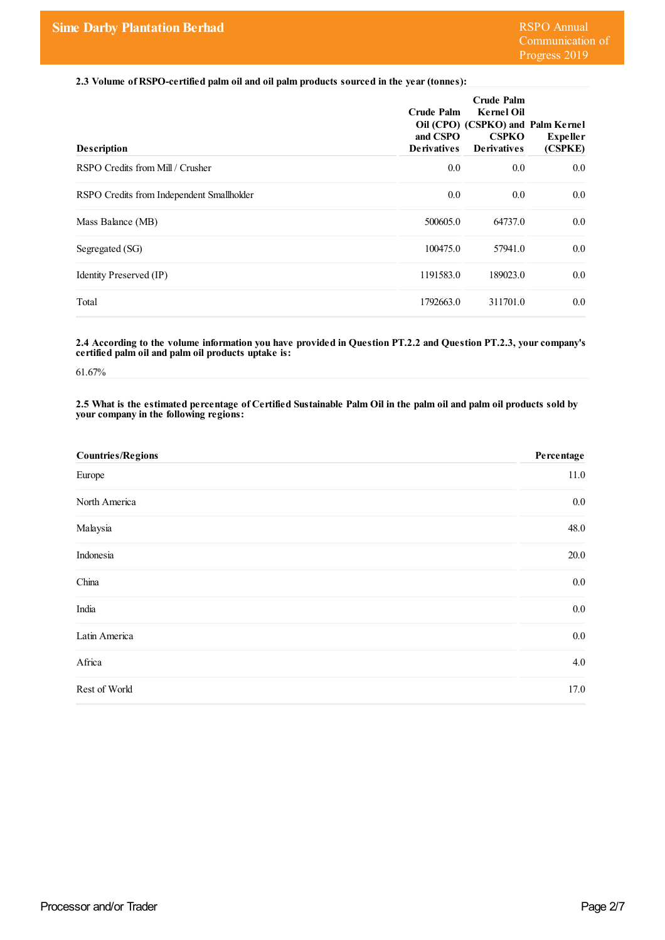**2.3 Volume of RSPO-certified palm oil and oil palm products sourced in the year(tonnes):**

| <b>Description</b>                        | Crude Palm<br>and CSPO<br><b>Derivatives</b> | Crude Palm<br><b>Kernel Oil</b><br>Oil (CPO) (CSPKO) and Palm Kernel<br><b>CSPKO</b><br><b>Derivatives</b> | <b>Expeller</b><br>(CSPKE) |
|-------------------------------------------|----------------------------------------------|------------------------------------------------------------------------------------------------------------|----------------------------|
| RSPO Credits from Mill / Crusher          | 0.0                                          | 0.0                                                                                                        | 0.0                        |
| RSPO Credits from Independent Smallholder | 0.0                                          | 0.0                                                                                                        | 0.0                        |
| Mass Balance (MB)                         | 500605.0                                     | 64737.0                                                                                                    | 0.0                        |
| Segregated (SG)                           | 100475.0                                     | 57941.0                                                                                                    | 0.0                        |
| Identity Preserved (IP)                   | 1191583.0                                    | 189023.0                                                                                                   | 0.0                        |
| Total                                     | 1792663.0                                    | 311701.0                                                                                                   | 0.0                        |

**2.4 According to the volume information you have provided in Question PT.2.2 and Question PT.2.3, yourcompany's certified palm oil and palm oil products uptake is:**

61.67%

#### 2.5 What is the estimated percentage of Certified Sustainable Palm Oil in the palm oil and palm oil products sold by **yourcompany in the following regions:**

| <b>Countries/Regions</b> | Percentage |
|--------------------------|------------|
| Europe                   | 11.0       |
| North America            | $0.0\,$    |
| Malaysia                 | 48.0       |
| Indonesia                | 20.0       |
| China                    | $0.0\,$    |
| India                    | $0.0\,$    |
| Latin America            | $0.0\,$    |
| Africa                   | 4.0        |
| Rest of World            | 17.0       |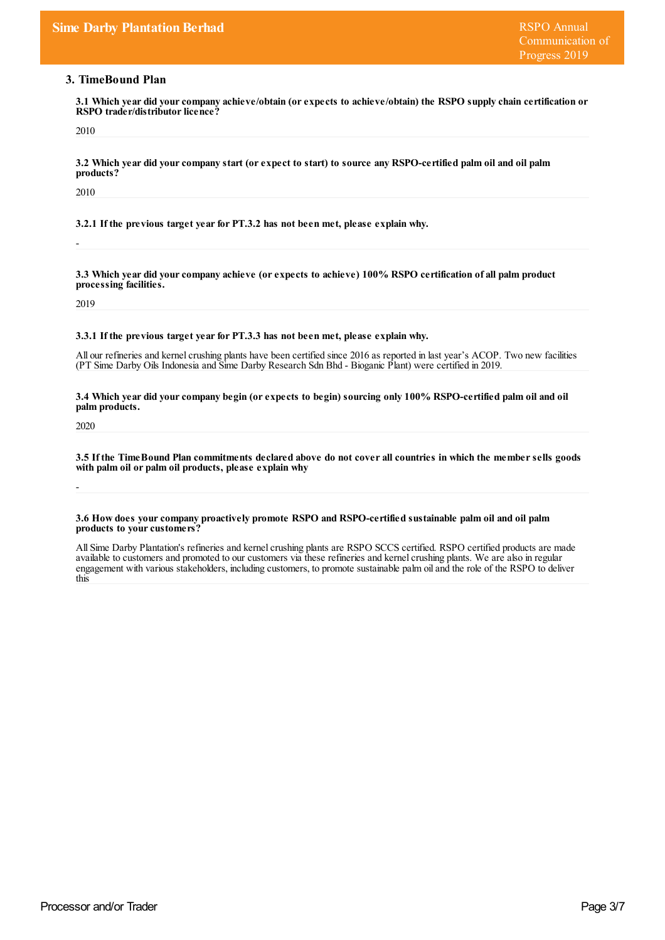# **3. TimeBound Plan**

**3.1 Which year did yourcompany achieve/obtain (orexpects to achieve/obtain) the RSPO supply chain certification or RSPO** trader/distributor licence?

2010

3.2 Which year did your company start (or expect to start) to source any RSPO-certified palm oil and oil palm **products?**

2010

-

**3.2.1 If the previous target yearfor PT.3.2 has not been met, please explain why.**

**3.3 Which year did yourcompany achieve (orexpects to achieve) 100% RSPO certification of all palm product processing facilities.**

2019

**3.3.1 If the previous target yearfor PT.3.3 has not been met, please explain why.**

All our refineries and kernel crushing plants have been certified since 2016 as reported in last year's ACOP. Two new facilities (PT Sime Darby Oils Indonesia and Sime Darby Research Sdn Bhd - Bioganic Plant) were certified in 2019.

3.4 Which year did your company begin (or expects to begin) sourcing only 100% RSPO-certified palm oil and oil **palm products.**

2020

-

3.5 If the Time Bound Plan commitments declared above do not cover all countries in which the member sells goods **with palm oil or palm oil products, please explain why**

**3.6 How does yourcompany proactively promote RSPO and RSPO-certified sustainable palm oil and oil palm products to yourcustomers?**

All Sime Darby Plantation's refineries and kernel crushing plants are RSPO SCCS certified. RSPO certified products are made available to customers and promoted to our customers via these refineries and kernel crushing plants. We are also in regular engagement with various stakeholders, including customers, to promote sustainable palm oiland the role of the RSPO to deliver this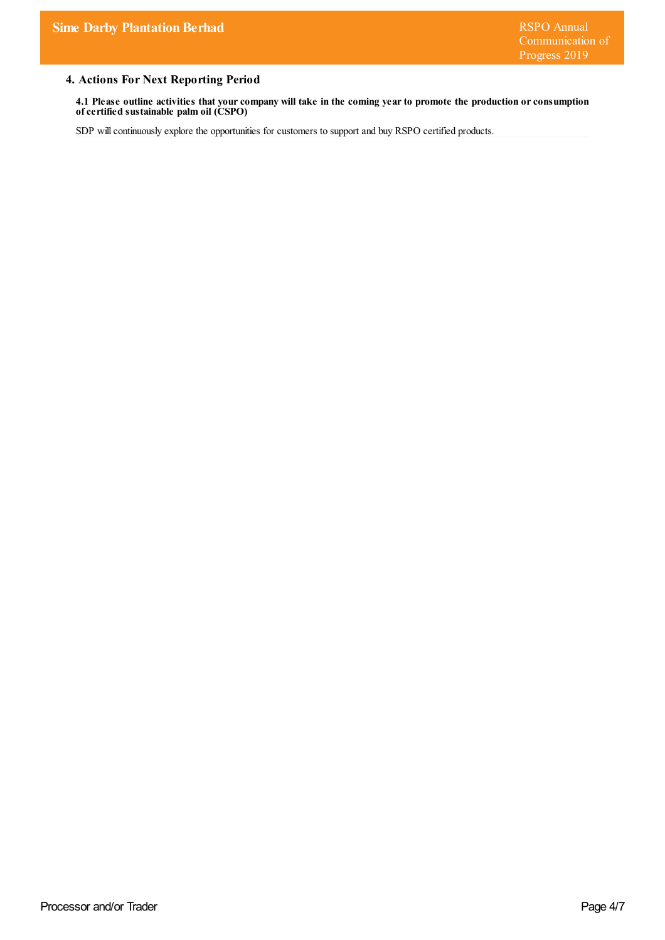# **4. Actions For Next Reporting Period**

4.1 Please outline activities that your company will take in the coming year to promote the production or consumption **ofcertified sustainable palm oil (CSPO)**

SDP will continuously explore the opportunities for customers to support and buy RSPO certified products.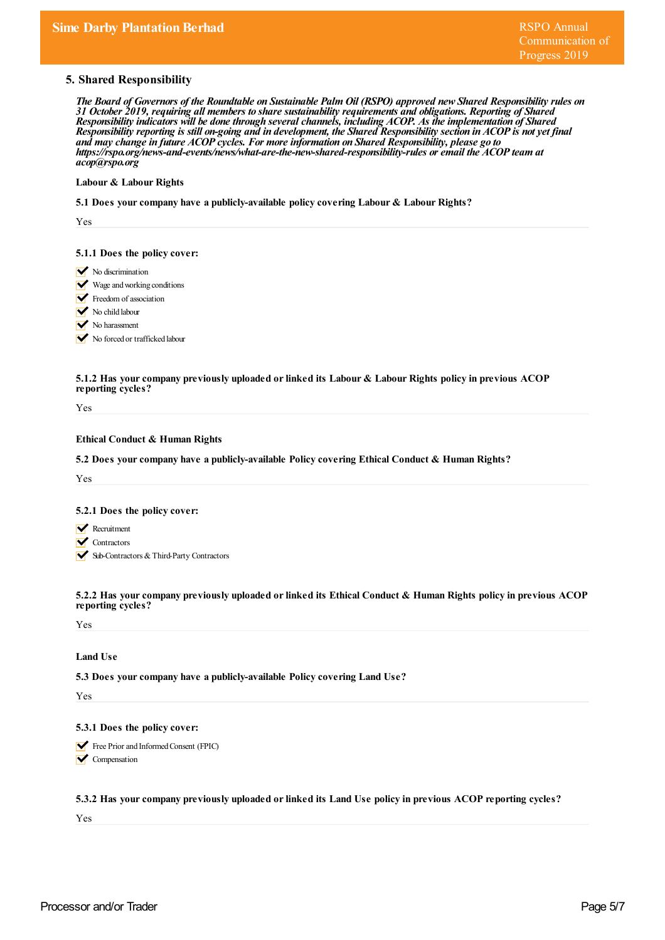## **5. Shared Responsibility**

The Board of Governors of the Roundtable on Sustainable Palm Oil (RSPO) approved new Shared Responsibility rules on *31 October 2019, requiring all members to share sustainability requirements and obligations. Reporting of Shared Responsibility indicators will be done through severalchannels, including ACOP. As the implementation of Shared* Responsibility reporting is still on-going and in development, the Shared Responsibility section in ACOP is not yet final *and may change in future ACOP cycles. For more information on Shared Responsibility, please go to https:/ rspo.org/news-and-events/news/what-are-the-new-shared-responsibility-rules or email the ACOP team at acop@rspo.org*

#### **Labour & Labour Rights**

**5.1 Does yourcompany have a publicly-available policy covering Labour & Labour Rights?**

Yes

#### **5.1.1 Does the policy cover:**

- $\triangleright$  No discrimination
- Wage and working conditions
- Freedom of association
- No child labour
- No harassment

No forced or trafficked labour

#### **5.1.2 Has yourcompany previously uploaded orlinked its Labour & Labour Rights policy in previous ACOP reporting cycles?**

Yes

### **Ethical Conduct & Human Rights**

**5.2 Does yourcompany have a publicly-available Policy covering Ethical Conduct & Human Rights?**

Yes

#### **5.2.1 Does the policy cover:**

- **Recruitment**
- **V** Contractors
- Sub-Contractors & Third-Party Contractors

**5.2.2 Has yourcompany previously uploaded orlinked its Ethical Conduct & Human Rights policy in previous ACOP reporting cycles?**

Yes

# **Land Use**

**5.3 Does yourcompany have a publicly-available Policy covering Land Use?**

Yes

#### **5.3.1 Does the policy cover:**

Free Prior and Informed Consent (FPIC) **V** Compensation

**5.3.2 Has yourcompany previously uploaded orlinked its Land Use policy in previous ACOP reporting cycles?**

Yes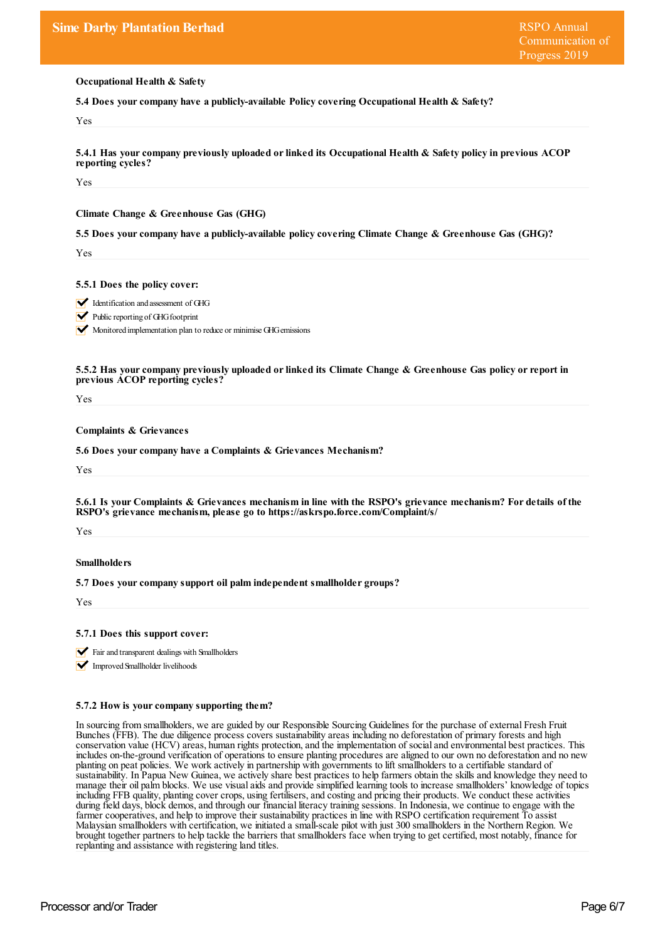**Occupational Health & Safety**

**5.4 Does yourcompany have a publicly-available Policy covering Occupational Health & Safety?**

Yes

**5.4.1 Has yourcompany previously uploaded orlinked its Occupational Health & Safety policy in previous ACOP reporting cycles?**

Yes

**Climate Change & Greenhouse Gas (GHG)**

**5.5 Does yourcompany have a publicly-available policy covering Climate Change & Greenhouse Gas (GHG)?**

Yes

**5.5.1 Does the policy cover:**

Identification and assessment of GHG

 $\blacktriangleright$  Public reporting of GHG footprint

Monitored implementation plan to reduce or minimise GHG emissions

**5.5.2 Has yourcompany previously uploaded orlinked its Climate Change & Greenhouse Gas policy orreport in previous ACOP reporting cycles?**

Yes

**Complaints & Grievances**

**5.6 Does yourcompany have a Complaints & Grievances Mechanism?**

Yes

5.6.1 Is your Complaints & Grievances mechanism in line with the RSPO's grievance mechanism? For details of the **RSPO's grievance mechanism, please go to https://askrspo.force.com/Complaint/s/**

Yes

#### **Smallholders**

**5.7 Does yourcompany support oil palm independent smallholder groups?**

Yes

**5.7.1 Does this support cover:**

 $\blacktriangleright$  Fair and transparent dealings with Smallholders

**V** Improved Smallholder livelihoods

#### **5.7.2 How is yourcompany supporting them?**

In sourcing from smallholders, we are guided by our Responsible Sourcing Guidelines for the purchase of external Fresh Fruit Bunches (FFB). The due diligence process covers sustainability areas including no deforestation of primary forests and high conservation value (HCV) areas, human rights protection,and the implementation of socialand environmental best practices. This includes on-the-ground verification of operations to ensure planting procedures are aligned to our own no deforestation and no new planting on peat policies. We work actively in partnership with governments to lift smallholders to a certifiable standard of sustainability. In Papua New Guinea, we actively share best practices to help farmers obtain the skills and knowledge they need to manage their oil palm blocks. We use visualaids and provide simplified learning tools to increase smallholders' knowledge of topics including FFB quality, planting cover crops, using fertilisers, and costing and pricing their products. We conduct these activities during field days, block demos, and through our financial literacy training sessions. In Indonesia, we continue to engage with the farmer cooperatives, and help to improve their sustainability practices in line with RSPO certification requirement To assist Malaysian smallholders with certification, we initiated a small-scale pilot with just 300 smallholders in the Northern Region. We brought together partners to help tackle the barriers that smallholders face when trying to get certified, most notably, finance for replanting and assistance with registering land titles.